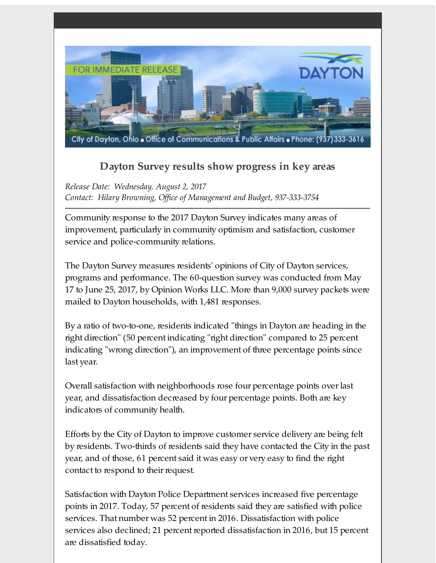

## **Dayton Survey results show progress in key areas**

*Release Date: Wednesday, August 2, 2017 Contact: Hilary Browning, Of ice of Management and Budget, 937-333-3754*

Community response to the 2017 Dayton Survey indicates many areas of improvement, particularly in community optimism and satisfaction, customer service and police-community relations.

The Dayton Survey measures residents' opinions of City of Dayton services, programs and performance. The 60-question survey was conducted from May 17 to June 25, 2017, by Opinion Works LLC. More than 9,000 survey packets were mailed to Dayton households, with 1,481 responses.

By a ratio of two-to-one, residents indicated "things in Dayton are heading in the right direction" (50 percent indicating "right direction" compared to 25 percent indicating "wrong direction"), an improvement of three percentage points since last year.

Overall satisfaction with neighborhoods rose four percentage points overlast year, and dissatisfaction decreased by four percentage points. Both are key indicators of community health.

Efforts by the City of Dayton to improve customer service delivery are being felt by residents. Two-thirds of residents said they have contacted the City in the past year, and of those, 61 percent said it was easy or very easy to find the right contact to respond to their request.

Satisfaction with Dayton Police Department services increased five percentage points in 2017. Today, 57 percent of residents said they are satisfied with police services. That number was 52 percent in 2016. Dissatisfaction with police services also declined; 21 percent reported dissatisfaction in 2016, but 15 percent are dissatisfied today.